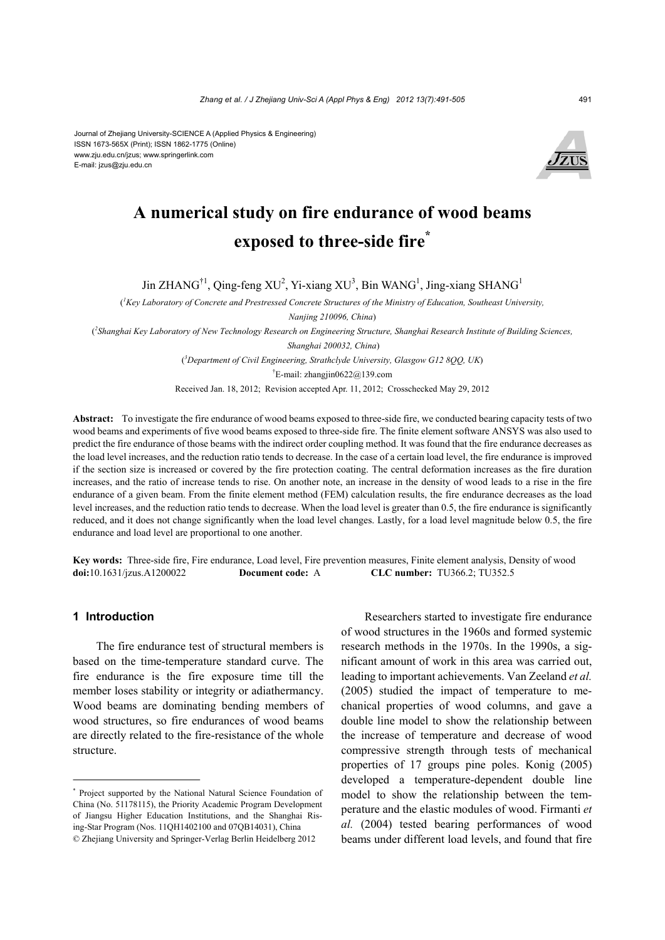

# **A numerical study on fire endurance of wood beams exposed to three-side fire\***

Jin ZHANG<sup>†1</sup>, Qing-feng XU<sup>2</sup>, Yi-xiang XU<sup>3</sup>, Bin WANG<sup>1</sup>, Jing-xiang SHANG<sup>1</sup>

( *1 Key Laboratory of Concrete and Prestressed Concrete Structures of the Ministry of Education, Southeast University,* 

*Nanjing 210096, China*)

( *2 Shanghai Key Laboratory of New Technology Research on Engineering Structure, Shanghai Research Institute of Building Sciences,* 

 *Shanghai 200032, China*)

( *3 Department of Civil Engineering, Strathclyde University, Glasgow G12 8QQ, UK*)

<sup>†</sup>E-mail: zhangjin0622@139.com

Received Jan. 18, 2012; Revision accepted Apr. 11, 2012; Crosschecked May 29, 2012

**Abstract:** To investigate the fire endurance of wood beams exposed to three-side fire, we conducted bearing capacity tests of two wood beams and experiments of five wood beams exposed to three-side fire. The finite element software ANSYS was also used to predict the fire endurance of those beams with the indirect order coupling method. It was found that the fire endurance decreases as the load level increases, and the reduction ratio tends to decrease. In the case of a certain load level, the fire endurance is improved if the section size is increased or covered by the fire protection coating. The central deformation increases as the fire duration increases, and the ratio of increase tends to rise. On another note, an increase in the density of wood leads to a rise in the fire endurance of a given beam. From the finite element method (FEM) calculation results, the fire endurance decreases as the load level increases, and the reduction ratio tends to decrease. When the load level is greater than 0.5, the fire endurance is significantly reduced, and it does not change significantly when the load level changes. Lastly, for a load level magnitude below 0.5, the fire endurance and load level are proportional to one another.

**Key words:** Three-side fire, Fire endurance, Load level, Fire prevention measures, Finite element analysis, Density of wood **doi:**10.1631/jzus.A1200022 **Document code:** A **CLC number:** TU366.2; TU352.5

#### **1 Introduction**

The fire endurance test of structural members is based on the time-temperature standard curve. The fire endurance is the fire exposure time till the member loses stability or integrity or adiathermancy. Wood beams are dominating bending members of wood structures, so fire endurances of wood beams are directly related to the fire-resistance of the whole structure.

Researchers started to investigate fire endurance of wood structures in the 1960s and formed systemic research methods in the 1970s. In the 1990s, a significant amount of work in this area was carried out, leading to important achievements. Van Zeeland *et al.* (2005) studied the impact of temperature to mechanical properties of wood columns, and gave a double line model to show the relationship between the increase of temperature and decrease of wood compressive strength through tests of mechanical properties of 17 groups pine poles. Konig (2005) developed a temperature-dependent double line model to show the relationship between the temperature and the elastic modules of wood. Firmanti *et al.* (2004) tested bearing performances of wood beams under different load levels, and found that fire

<sup>\*</sup> Project supported by the National Natural Science Foundation of China (No. 51178115), the Priority Academic Program Development of Jiangsu Higher Education Institutions, and the Shanghai Rising-Star Program (Nos. 11QH1402100 and 07QB14031), China © Zhejiang University and Springer-Verlag Berlin Heidelberg 2012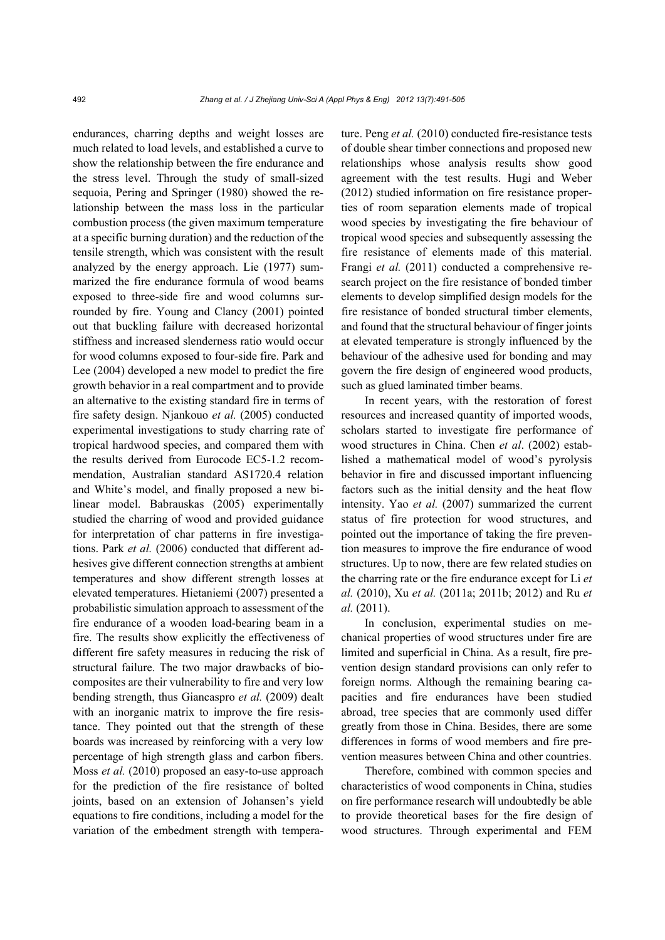endurances, charring depths and weight losses are much related to load levels, and established a curve to show the relationship between the fire endurance and the stress level. Through the study of small-sized sequoia, Pering and Springer (1980) showed the relationship between the mass loss in the particular combustion process (the given maximum temperature at a specific burning duration) and the reduction of the tensile strength, which was consistent with the result analyzed by the energy approach. Lie (1977) summarized the fire endurance formula of wood beams exposed to three-side fire and wood columns surrounded by fire. Young and Clancy (2001) pointed out that buckling failure with decreased horizontal stiffness and increased slenderness ratio would occur for wood columns exposed to four-side fire. Park and Lee (2004) developed a new model to predict the fire growth behavior in a real compartment and to provide an alternative to the existing standard fire in terms of fire safety design. Njankouo *et al.* (2005) conducted experimental investigations to study charring rate of tropical hardwood species, and compared them with the results derived from Eurocode EC5-1.2 recommendation, Australian standard AS1720.4 relation and White's model, and finally proposed a new bilinear model. Babrauskas (2005) experimentally studied the charring of wood and provided guidance for interpretation of char patterns in fire investigations. Park *et al.* (2006) conducted that different adhesives give different connection strengths at ambient temperatures and show different strength losses at elevated temperatures. Hietaniemi (2007) presented a probabilistic simulation approach to assessment of the fire endurance of a wooden load-bearing beam in a fire. The results show explicitly the effectiveness of different fire safety measures in reducing the risk of structural failure. The two major drawbacks of biocomposites are their vulnerability to fire and very low bending strength, thus Giancaspro *et al.* (2009) dealt with an inorganic matrix to improve the fire resistance. They pointed out that the strength of these boards was increased by reinforcing with a very low percentage of high strength glass and carbon fibers. Moss *et al.* (2010) proposed an easy-to-use approach for the prediction of the fire resistance of bolted joints, based on an extension of Johansen's yield equations to fire conditions, including a model for the variation of the embedment strength with temperature. Peng *et al.* (2010) conducted fire-resistance tests of double shear timber connections and proposed new relationships whose analysis results show good agreement with the test results. Hugi and Weber (2012) studied information on fire resistance properties of room separation elements made of tropical wood species by investigating the fire behaviour of tropical wood species and subsequently assessing the fire resistance of elements made of this material. Frangi *et al.* (2011) conducted a comprehensive research project on the fire resistance of bonded timber elements to develop simplified design models for the fire resistance of bonded structural timber elements, and found that the structural behaviour of finger joints at elevated temperature is strongly influenced by the behaviour of the adhesive used for bonding and may govern the fire design of engineered wood products, such as glued laminated timber beams.

In recent years, with the restoration of forest resources and increased quantity of imported woods, scholars started to investigate fire performance of wood structures in China. Chen *et al*. (2002) established a mathematical model of wood's pyrolysis behavior in fire and discussed important influencing factors such as the initial density and the heat flow intensity. Yao *et al.* (2007) summarized the current status of fire protection for wood structures, and pointed out the importance of taking the fire prevention measures to improve the fire endurance of wood structures. Up to now, there are few related studies on the charring rate or the fire endurance except for Li *et al.* (2010), Xu *et al.* (2011a; 2011b; 2012) and Ru *et al.* (2011).

In conclusion, experimental studies on mechanical properties of wood structures under fire are limited and superficial in China. As a result, fire prevention design standard provisions can only refer to foreign norms. Although the remaining bearing capacities and fire endurances have been studied abroad, tree species that are commonly used differ greatly from those in China. Besides, there are some differences in forms of wood members and fire prevention measures between China and other countries.

Therefore, combined with common species and characteristics of wood components in China, studies on fire performance research will undoubtedly be able to provide theoretical bases for the fire design of wood structures. Through experimental and FEM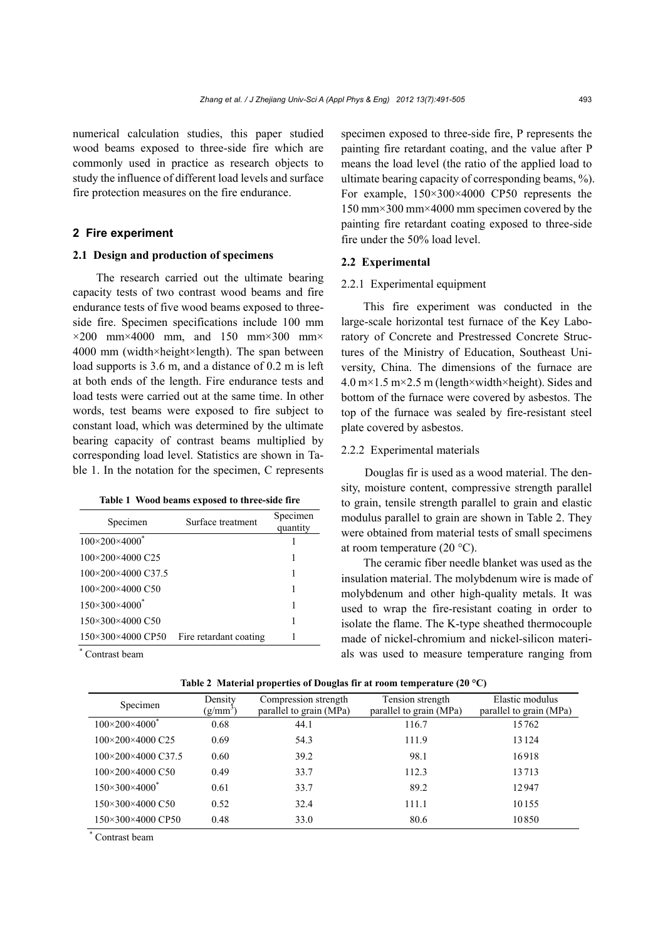numerical calculation studies, this paper studied wood beams exposed to three-side fire which are commonly used in practice as research objects to study the influence of different load levels and surface fire protection measures on the fire endurance.

#### **2 Fire experiment**

#### **2.1 Design and production of specimens**

The research carried out the ultimate bearing capacity tests of two contrast wood beams and fire endurance tests of five wood beams exposed to threeside fire. Specimen specifications include 100 mm  $\times$ 200 mm×4000 mm, and 150 mm×300 mm× 4000 mm (width×height×length). The span between load supports is 3.6 m, and a distance of 0.2 m is left at both ends of the length. Fire endurance tests and load tests were carried out at the same time. In other words, test beams were exposed to fire subject to constant load, which was determined by the ultimate bearing capacity of contrast beams multiplied by corresponding load level. Statistics are shown in Table 1. In the notation for the specimen, C represents

| Table 1 Wood beams exposed to three-side fire |
|-----------------------------------------------|
|-----------------------------------------------|

| Specimen                              | Surface treatment      | Specimen<br>quantity |
|---------------------------------------|------------------------|----------------------|
| $100 \times 200 \times 4000^*$        |                        |                      |
| 100×200×4000 C25                      |                        |                      |
| 100×200×4000 C37.5                    |                        |                      |
| 100×200×4000 C50                      |                        |                      |
| $150\times300\times4000$ <sup>*</sup> |                        |                      |
| 150×300×4000 C50                      |                        |                      |
| 150×300×4000 CP50<br>$\mathbf{r}$     | Fire retardant coating |                      |

\* Contrast beam specimen exposed to three-side fire, P represents the painting fire retardant coating, and the value after P means the load level (the ratio of the applied load to ultimate bearing capacity of corresponding beams, %). For example, 150×300×4000 CP50 represents the 150 mm×300 mm×4000 mm specimen covered by the painting fire retardant coating exposed to three-side fire under the 50% load level.

## **2.2 Experimental**

#### 2.2.1 Experimental equipment

This fire experiment was conducted in the large-scale horizontal test furnace of the Key Laboratory of Concrete and Prestressed Concrete Structures of the Ministry of Education, Southeast University, China. The dimensions of the furnace are  $4.0 \text{ m} \times 1.5 \text{ m} \times 2.5 \text{ m}$  (length  $\times$  width  $\times$  height). Sides and bottom of the furnace were covered by asbestos. The top of the furnace was sealed by fire-resistant steel plate covered by asbestos.

#### 2.2.2 Experimental materials

Douglas fir is used as a wood material. The density, moisture content, compressive strength parallel to grain, tensile strength parallel to grain and elastic modulus parallel to grain are shown in Table 2. They were obtained from material tests of small specimens at room temperature (20 °C).

The ceramic fiber needle blanket was used as the insulation material. The molybdenum wire is made of molybdenum and other high-quality metals. It was used to wrap the fire-resistant coating in order to isolate the flame. The K-type sheathed thermocouple made of nickel-chromium and nickel-silicon materials was used to measure temperature ranging from

|  | Table 2 Material properties of Douglas fir at room temperature (20 $^{\circ}$ C) |  |  |
|--|----------------------------------------------------------------------------------|--|--|
|  |                                                                                  |  |  |

| Specimen                     | Density<br>$(g/mm^3)$ | Compression strength<br>parallel to grain (MPa) | Tension strength<br>parallel to grain (MPa) | Elastic modulus<br>parallel to grain (MPa) |
|------------------------------|-----------------------|-------------------------------------------------|---------------------------------------------|--------------------------------------------|
| $100\times200\times4000^*$   | 0.68                  | 44.1                                            | 116.7                                       | 15762                                      |
| $100\times200\times4000$ C25 | 0.69                  | 54.3                                            | 111.9                                       | 13124                                      |
| 100×200×4000 C37.5           | 0.60                  | 39.2                                            | 98.1                                        | 16918                                      |
| $100\times200\times4000$ C50 | 0.49                  | 33.7                                            | 112.3                                       | 13713                                      |
| $150\times300\times4000^*$   | 0.61                  | 33.7                                            | 89.2                                        | 12947                                      |
| 150×300×4000 C50             | 0.52                  | 32.4                                            | 111.1                                       | 10155                                      |
| 150×300×4000 CP50            | 0.48                  | 33.0                                            | 80.6                                        | 10850                                      |

\* Contrast beam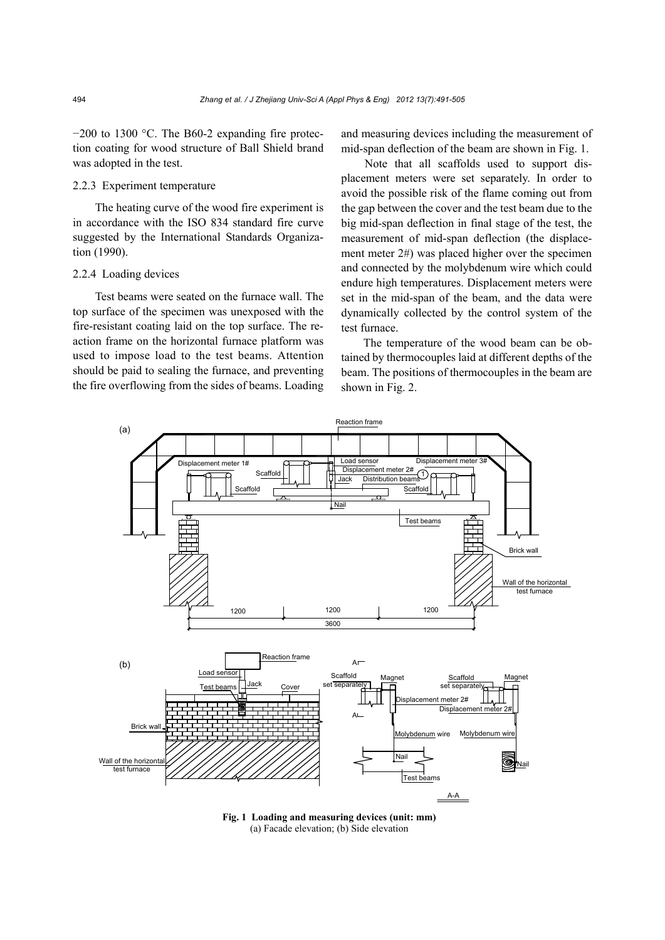−200 to 1300 °C. The B60-2 expanding fire protection coating for wood structure of Ball Shield brand was adopted in the test.

## 2.2.3 Experiment temperature

The heating curve of the wood fire experiment is in accordance with the ISO 834 standard fire curve suggested by the International Standards Organization (1990).

#### 2.2.4 Loading devices

Test beams were seated on the furnace wall. The top surface of the specimen was unexposed with the fire-resistant coating laid on the top surface. The reaction frame on the horizontal furnace platform was used to impose load to the test beams. Attention should be paid to sealing the furnace, and preventing the fire overflowing from the sides of beams. Loading

and measuring devices including the measurement of mid-span deflection of the beam are shown in Fig. 1.

Note that all scaffolds used to support displacement meters were set separately. In order to avoid the possible risk of the flame coming out from the gap between the cover and the test beam due to the big mid-span deflection in final stage of the test, the measurement of mid-span deflection (the displacement meter 2#) was placed higher over the specimen and connected by the molybdenum wire which could endure high temperatures. Displacement meters were set in the mid-span of the beam, and the data were dynamically collected by the control system of the test furnace.

The temperature of the wood beam can be obtained by thermocouples laid at different depths of the beam. The positions of thermocouples in the beam are shown in Fig. 2.



**Fig. 1 Loading and measuring devices (unit: mm)**  (a) Facade elevation; (b) Side elevation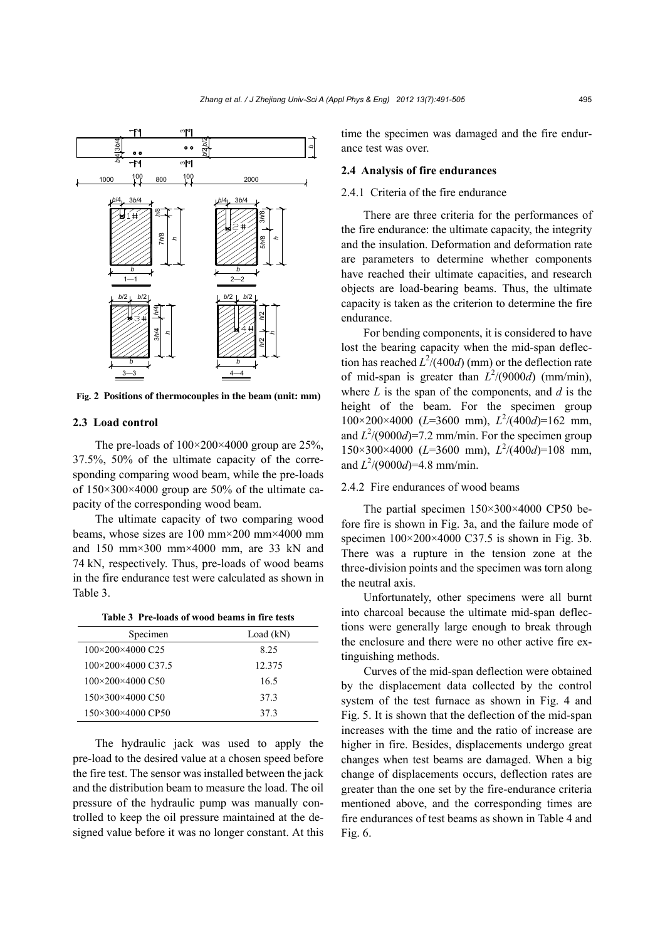

**Fig. 2 Positions of thermocouples in the beam (unit: mm)**

## **2.3 Load control**

The pre-loads of  $100 \times 200 \times 4000$  group are 25%, 37.5%, 50% of the ultimate capacity of the corresponding comparing wood beam, while the pre-loads of 150×300×4000 group are 50% of the ultimate capacity of the corresponding wood beam.

The ultimate capacity of two comparing wood beams, whose sizes are 100 mm×200 mm×4000 mm and 150 mm×300 mm×4000 mm, are 33 kN and 74 kN, respectively. Thus, pre-loads of wood beams in the fire endurance test were calculated as shown in Table 3.

| Specimen           | Load $(kN)$ |
|--------------------|-------------|
| 100×200×4000 C25   | 825         |
| 100×200×4000 C37.5 | 12.375      |
| 100×200×4000 C50   | 16.5        |
| 150×300×4000 C50   | 373         |
| 150×300×4000 CP50  | 373         |

The hydraulic jack was used to apply the pre-load to the desired value at a chosen speed before the fire test. The sensor was installed between the jack and the distribution beam to measure the load. The oil pressure of the hydraulic pump was manually controlled to keep the oil pressure maintained at the designed value before it was no longer constant. At this time the specimen was damaged and the fire endurance test was over.

#### **2.4 Analysis of fire endurances**

#### 2.4.1 Criteria of the fire endurance

There are three criteria for the performances of the fire endurance: the ultimate capacity, the integrity and the insulation. Deformation and deformation rate are parameters to determine whether components have reached their ultimate capacities, and research objects are load-bearing beams. Thus, the ultimate capacity is taken as the criterion to determine the fire endurance.

For bending components, it is considered to have lost the bearing capacity when the mid-span deflection has reached  $L^2/(400d)$  (mm) or the deflection rate of mid-span is greater than  $L^2/(9000d)$  (mm/min), where *L* is the span of the components, and *d* is the height of the beam. For the specimen group 100×200×4000 (*L*=3600 mm), *L*<sup>2</sup> /(400*d*)=162 mm, and  $L^2/(9000d) = 7.2$  mm/min. For the specimen group 150×300×4000 (*L*=3600 mm), *L*<sup>2</sup> /(400*d*)=108 mm, and  $L^2/(9000d) = 4.8$  mm/min.

#### 2.4.2 Fire endurances of wood beams

The partial specimen 150×300×4000 CP50 before fire is shown in Fig. 3a, and the failure mode of specimen  $100 \times 200 \times 4000$  C37.5 is shown in Fig. 3b. There was a rupture in the tension zone at the three-division points and the specimen was torn along the neutral axis.

Unfortunately, other specimens were all burnt into charcoal because the ultimate mid-span deflections were generally large enough to break through the enclosure and there were no other active fire extinguishing methods.

Curves of the mid-span deflection were obtained by the displacement data collected by the control system of the test furnace as shown in Fig. 4 and Fig. 5. It is shown that the deflection of the mid-span increases with the time and the ratio of increase are higher in fire. Besides, displacements undergo great changes when test beams are damaged. When a big change of displacements occurs, deflection rates are greater than the one set by the fire-endurance criteria mentioned above, and the corresponding times are fire endurances of test beams as shown in Table 4 and Fig. 6.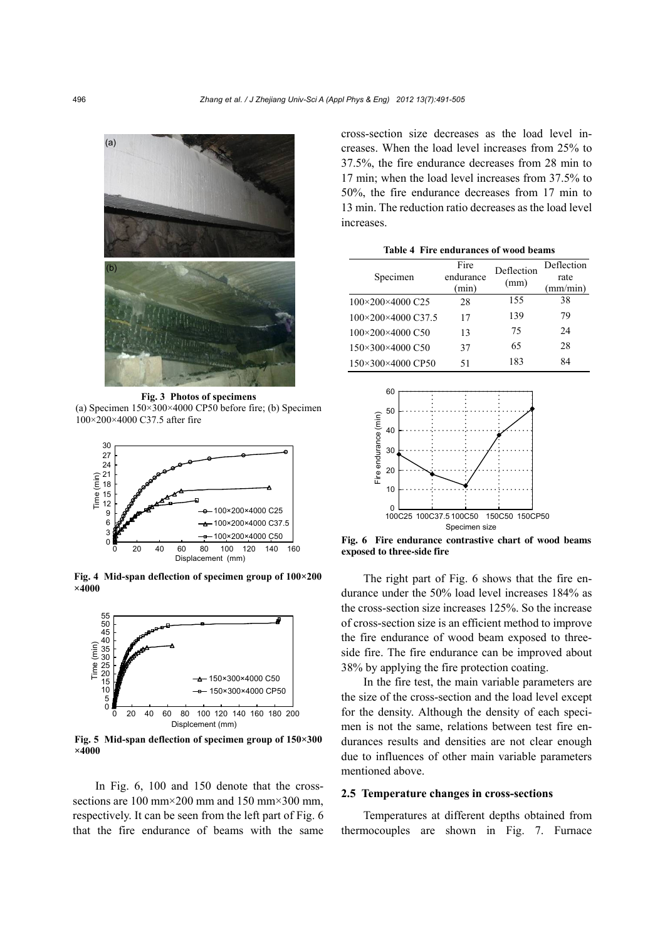

**Fig. 3 Photos of specimens**  (a) Specimen  $150\times300\times4000$  CP50 before fire; (b) Specimen 100×200×4000 C37.5 after fire



**Fig. 4 Mid-span deflection of specimen group of 100×200 ×4000** 



**Fig. 5 Mid-span deflection of specimen group of 150×300 ×4000** 

In Fig. 6, 100 and 150 denote that the crosssections are 100 mm $\times$ 200 mm and 150 mm $\times$ 300 mm. respectively. It can be seen from the left part of Fig. 6 that the fire endurance of beams with the same cross-section size decreases as the load level increases. When the load level increases from 25% to 37.5%, the fire endurance decreases from 28 min to 17 min; when the load level increases from 37.5% to 50%, the fire endurance decreases from 17 min to 13 min. The reduction ratio decreases as the load level increases.

**Table 4 Fire endurances of wood beams** 

| Specimen           | Fire<br>endurance<br>(min) | Deflection<br>(mm) | Deflection<br>rate<br>(mm/min) |
|--------------------|----------------------------|--------------------|--------------------------------|
| 100×200×4000 C25   | 28                         | 155                | 38                             |
| 100×200×4000 C37.5 | 17                         | 139                | 79                             |
| 100×200×4000 C50   | 13                         | 75                 | 24                             |
| 150×300×4000 C50   | 37                         | 65                 | 28                             |
| 150×300×4000 CP50  | 51                         | 183                | 84                             |



**Fig. 6 Fire endurance contrastive chart of wood beams exposed to three-side fire**

The right part of Fig. 6 shows that the fire endurance under the 50% load level increases 184% as the cross-section size increases 125%. So the increase of cross-section size is an efficient method to improve the fire endurance of wood beam exposed to threeside fire. The fire endurance can be improved about 38% by applying the fire protection coating.

In the fire test, the main variable parameters are the size of the cross-section and the load level except for the density. Although the density of each specimen is not the same, relations between test fire endurances results and densities are not clear enough due to influences of other main variable parameters mentioned above.

#### **2.5 Temperature changes in cross-sections**

Temperatures at different depths obtained from thermocouples are shown in Fig. 7. Furnace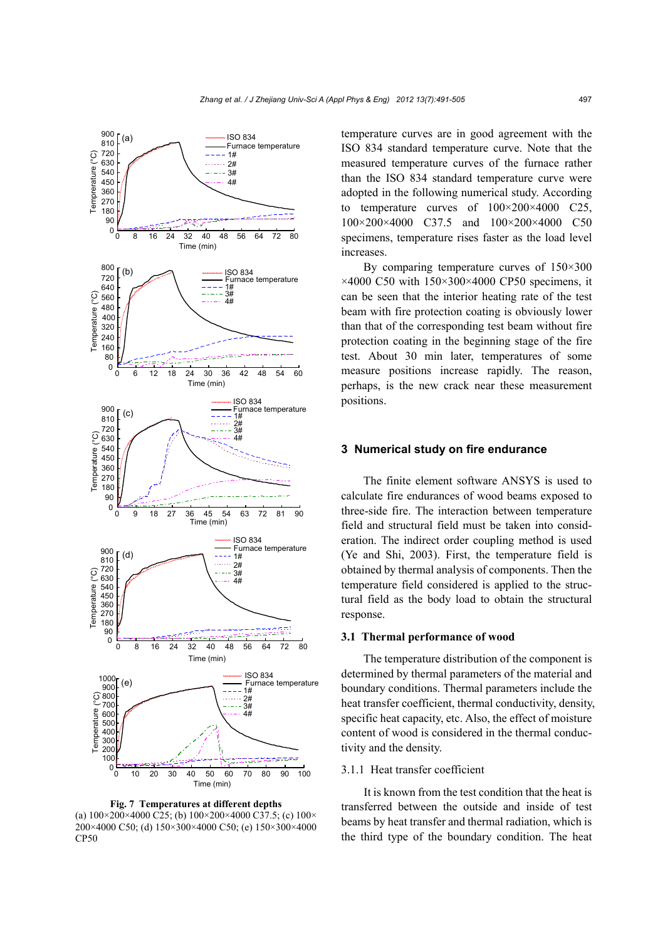

**Fig. 7 Temperatures at different depths**  (a)  $100\times200\times4000$  C25; (b)  $100\times200\times4000$  C37.5; (c)  $100\times$ 200×4000 C50; (d) 150×300×4000 C50; (e) 150×300×4000  $CP50$ 

temperature curves are in good agreement with the ISO 834 standard temperature curve. Note that the measured temperature curves of the furnace rather than the ISO 834 standard temperature curve were adopted in the following numerical study. According to temperature curves of  $100 \times 200 \times 4000$  C25, 100×200×4000 C37.5 and 100×200×4000 C50 specimens, temperature rises faster as the load level increases.

By comparing temperature curves of 150×300  $\times$ 4000 C50 with 150 $\times$ 300 $\times$ 4000 CP50 specimens, it can be seen that the interior heating rate of the test beam with fire protection coating is obviously lower than that of the corresponding test beam without fire protection coating in the beginning stage of the fire test. About 30 min later, temperatures of some measure positions increase rapidly. The reason, perhaps, is the new crack near these measurement positions.

#### **3 Numerical study on fire endurance**

The finite element software ANSYS is used to calculate fire endurances of wood beams exposed to three-side fire. The interaction between temperature field and structural field must be taken into consideration. The indirect order coupling method is used (Ye and Shi, 2003). First, the temperature field is obtained by thermal analysis of components. Then the temperature field considered is applied to the structural field as the body load to obtain the structural response.

#### **3.1 Thermal performance of wood**

The temperature distribution of the component is determined by thermal parameters of the material and boundary conditions. Thermal parameters include the heat transfer coefficient, thermal conductivity, density, specific heat capacity, etc. Also, the effect of moisture content of wood is considered in the thermal conductivity and the density.

## 3.1.1 Heat transfer coefficient

It is known from the test condition that the heat is transferred between the outside and inside of test beams by heat transfer and thermal radiation, which is the third type of the boundary condition. The heat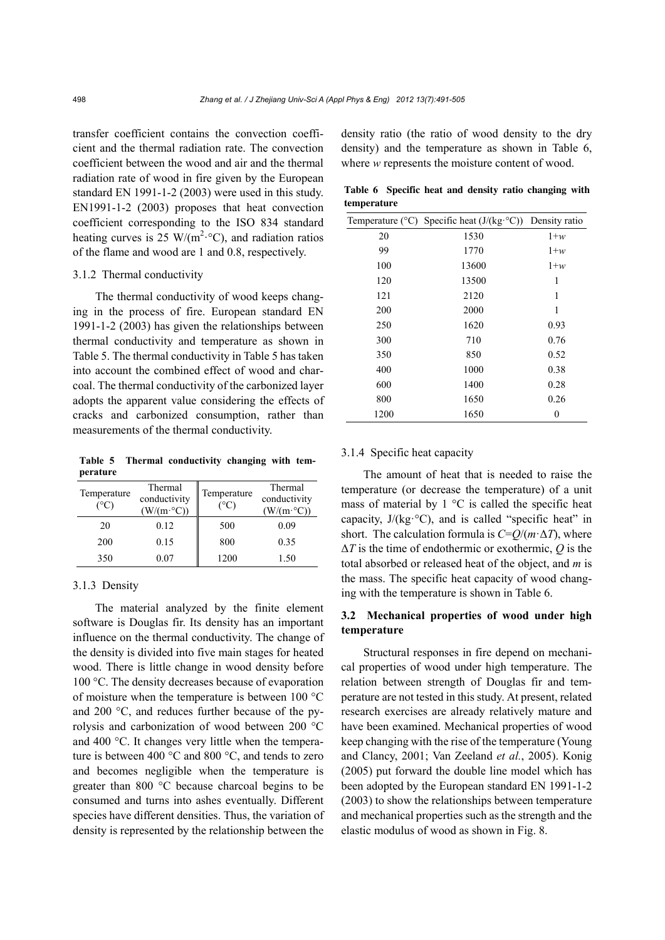transfer coefficient contains the convection coefficient and the thermal radiation rate. The convection coefficient between the wood and air and the thermal radiation rate of wood in fire given by the European standard EN 1991-1-2 (2003) were used in this study. EN1991-1-2 (2003) proposes that heat convection coefficient corresponding to the ISO 834 standard heating curves is 25 W/( $m^2$ <sup>o</sup>C), and radiation ratios of the flame and wood are 1 and 0.8, respectively.

## 3.1.2 Thermal conductivity

The thermal conductivity of wood keeps changing in the process of fire. European standard EN 1991-1-2 (2003) has given the relationships between thermal conductivity and temperature as shown in Table 5. The thermal conductivity in Table 5 has taken into account the combined effect of wood and charcoal. The thermal conductivity of the carbonized layer adopts the apparent value considering the effects of cracks and carbonized consumption, rather than measurements of the thermal conductivity.

**Table 5 Thermal conductivity changing with temperature** 

| Temperature<br>$(^{\circ}C)$ | Thermal<br>conductivity<br>$(W/(m \cdot {\rm C}))$ | Temperature<br>(°C) | Thermal<br>conductivity<br>$(W/(m \cdot {\degree}C))$ |
|------------------------------|----------------------------------------------------|---------------------|-------------------------------------------------------|
| 20                           | 0.12                                               | 500                 | 0.09                                                  |
| 200                          | 0.15                                               | 800                 | 0.35                                                  |
| 350                          | $0.07\,$                                           | 1200                | 1.50                                                  |

## 3.1.3 Density

The material analyzed by the finite element software is Douglas fir. Its density has an important influence on the thermal conductivity. The change of the density is divided into five main stages for heated wood. There is little change in wood density before 100 °C. The density decreases because of evaporation of moisture when the temperature is between 100 °C and 200 °C, and reduces further because of the pyrolysis and carbonization of wood between 200 °C and 400 °C. It changes very little when the temperature is between 400 °C and 800 °C, and tends to zero and becomes negligible when the temperature is greater than 800 °C because charcoal begins to be consumed and turns into ashes eventually. Different species have different densities. Thus, the variation of density is represented by the relationship between the density ratio (the ratio of wood density to the dry density) and the temperature as shown in Table 6, where *w* represents the moisture content of wood.

**Table 6 Specific heat and density ratio changing with temperature** 

|      | Temperature ( ${}^{\circ}$ C) Specific heat (J/(kg ${}^{\circ}$ C)) Density ratio |       |
|------|-----------------------------------------------------------------------------------|-------|
| 20   | 1530                                                                              | $1+w$ |
| 99   | 1770                                                                              | $1+w$ |
| 100  | 13600                                                                             | $1+w$ |
| 120  | 13500                                                                             | 1     |
| 121  | 2120                                                                              | 1     |
| 200  | 2000                                                                              | 1     |
| 250  | 1620                                                                              | 0.93  |
| 300  | 710                                                                               | 0.76  |
| 350  | 850                                                                               | 0.52  |
| 400  | 1000                                                                              | 0.38  |
| 600  | 1400                                                                              | 0.28  |
| 800  | 1650                                                                              | 0.26  |
| 1200 | 1650                                                                              | 0     |

## 3.1.4 Specific heat capacity

The amount of heat that is needed to raise the temperature (or decrease the temperature) of a unit mass of material by  $1 \,^{\circ}\mathrm{C}$  is called the specific heat capacity,  $J/(kg \cdot ^{\circ}C)$ , and is called "specific heat" in short. The calculation formula is  $C = Q/(m \cdot \Delta T)$ , where Δ*T* is the time of endothermic or exothermic, *Q* is the total absorbed or released heat of the object, and *m* is the mass. The specific heat capacity of wood changing with the temperature is shown in Table 6.

## **3.2 Mechanical properties of wood under high temperature**

Structural responses in fire depend on mechanical properties of wood under high temperature. The relation between strength of Douglas fir and temperature are not tested in this study. At present, related research exercises are already relatively mature and have been examined. Mechanical properties of wood keep changing with the rise of the temperature (Young and Clancy, 2001; Van Zeeland *et al.*, 2005). Konig (2005) put forward the double line model which has been adopted by the European standard EN 1991-1-2 (2003) to show the relationships between temperature and mechanical properties such as the strength and the elastic modulus of wood as shown in Fig. 8.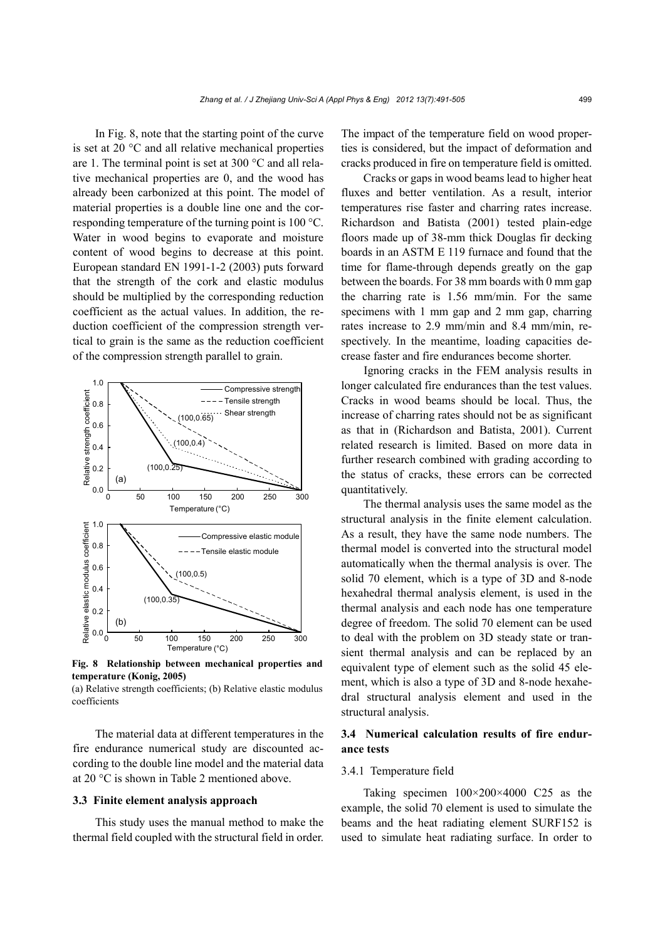In Fig. 8, note that the starting point of the curve is set at 20 °C and all relative mechanical properties are 1. The terminal point is set at 300 °C and all relative mechanical properties are 0, and the wood has already been carbonized at this point. The model of material properties is a double line one and the corresponding temperature of the turning point is 100 °C. Water in wood begins to evaporate and moisture content of wood begins to decrease at this point. European standard EN 1991-1-2 (2003) puts forward that the strength of the cork and elastic modulus should be multiplied by the corresponding reduction coefficient as the actual values. In addition, the reduction coefficient of the compression strength vertical to grain is the same as the reduction coefficient of the compression strength parallel to grain.



**Fig. 8 Relationship between mechanical properties and temperature (Konig, 2005)** 

(a) Relative strength coefficients; (b) Relative elastic modulus coefficients

The material data at different temperatures in the fire endurance numerical study are discounted according to the double line model and the material data at 20 °C is shown in Table 2 mentioned above.

#### **3.3 Finite element analysis approach**

This study uses the manual method to make the thermal field coupled with the structural field in order.

The impact of the temperature field on wood properties is considered, but the impact of deformation and cracks produced in fire on temperature field is omitted.

Cracks or gaps in wood beams lead to higher heat fluxes and better ventilation. As a result, interior temperatures rise faster and charring rates increase. Richardson and Batista (2001) tested plain-edge floors made up of 38-mm thick Douglas fir decking boards in an ASTM E 119 furnace and found that the time for flame-through depends greatly on the gap between the boards. For 38 mm boards with 0 mm gap the charring rate is 1.56 mm/min. For the same specimens with 1 mm gap and 2 mm gap, charring rates increase to 2.9 mm/min and 8.4 mm/min, respectively. In the meantime, loading capacities decrease faster and fire endurances become shorter.

Ignoring cracks in the FEM analysis results in longer calculated fire endurances than the test values. Cracks in wood beams should be local. Thus, the increase of charring rates should not be as significant as that in (Richardson and Batista, 2001). Current related research is limited. Based on more data in further research combined with grading according to the status of cracks, these errors can be corrected quantitatively.

The thermal analysis uses the same model as the structural analysis in the finite element calculation. As a result, they have the same node numbers. The thermal model is converted into the structural model automatically when the thermal analysis is over. The solid 70 element, which is a type of 3D and 8-node hexahedral thermal analysis element, is used in the thermal analysis and each node has one temperature degree of freedom. The solid 70 element can be used to deal with the problem on 3D steady state or transient thermal analysis and can be replaced by an equivalent type of element such as the solid 45 element, which is also a type of 3D and 8-node hexahedral structural analysis element and used in the structural analysis.

# **3.4 Numerical calculation results of fire endurance tests**

## 3.4.1 Temperature field

Taking specimen 100×200×4000 C25 as the example, the solid 70 element is used to simulate the beams and the heat radiating element SURF152 is used to simulate heat radiating surface. In order to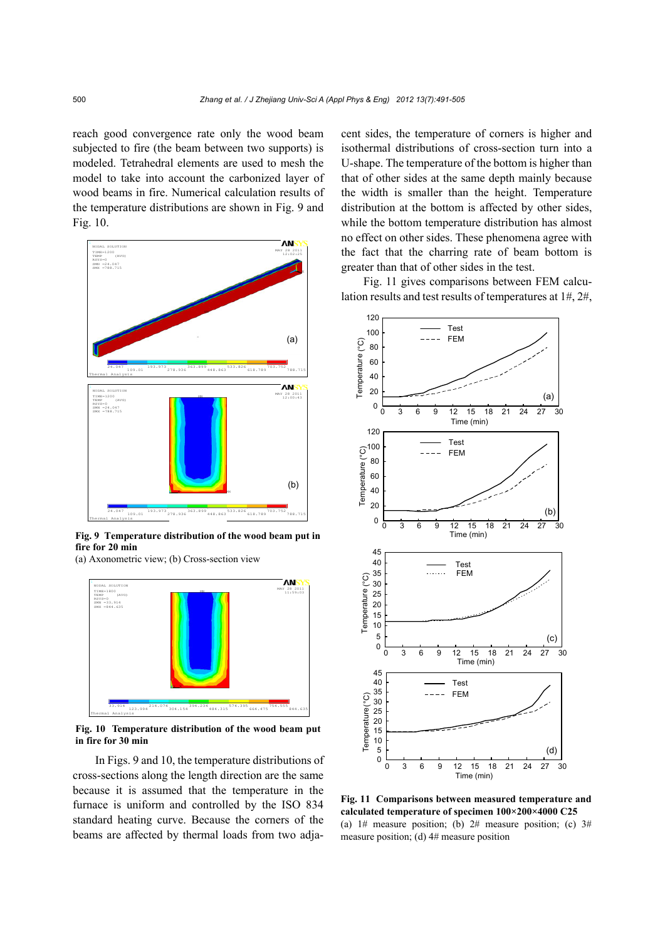reach good convergence rate only the wood beam subjected to fire (the beam between two supports) is modeled. Tetrahedral elements are used to mesh the model to take into account the carbonized layer of wood beams in fire. Numerical calculation results of the temperature distributions are shown in Fig. 9 and Fig. 10.



**Fig. 9 Temperature distribution of the wood beam put in fire for 20 min** 

(a) Axonometric view; (b) Cross-section view



**Fig. 10 Temperature distribution of the wood beam put in fire for 30 min**

In Figs. 9 and 10, the temperature distributions of cross-sections along the length direction are the same because it is assumed that the temperature in the furnace is uniform and controlled by the ISO 834 standard heating curve. Because the corners of the beams are affected by thermal loads from two adjacent sides, the temperature of corners is higher and isothermal distributions of cross-section turn into a U-shape. The temperature of the bottom is higher than that of other sides at the same depth mainly because the width is smaller than the height. Temperature distribution at the bottom is affected by other sides, while the bottom temperature distribution has almost no effect on other sides. These phenomena agree with the fact that the charring rate of beam bottom is greater than that of other sides in the test.

Fig. 11 gives comparisons between FEM calculation results and test results of temperatures at 1#, 2#,



 **calculated temperature of specimen 100×200×4000 C25 Fig. 11 Comparisons between measured temperature and**  (a)  $1#$  measure position; (b)  $2#$  measure position; (c)  $3#$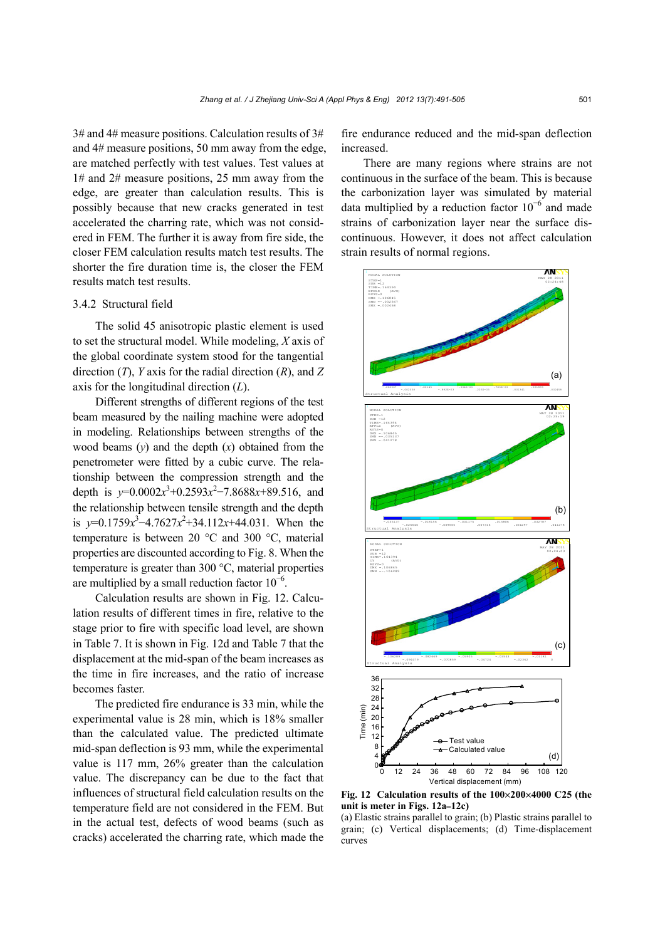3# and 4# measure positions. Calculation results of 3# and 4# measure positions, 50 mm away from the edge, are matched perfectly with test values. Test values at 1# and 2# measure positions, 25 mm away from the edge, are greater than calculation results. This is possibly because that new cracks generated in test accelerated the charring rate, which was not considered in FEM. The further it is away from fire side, the closer FEM calculation results match test results. The shorter the fire duration time is, the closer the FEM results match test results.

## 3.4.2 Structural field

The solid 45 anisotropic plastic element is used to set the structural model. While modeling, *X* axis of the global coordinate system stood for the tangential direction (*T*), *Y* axis for the radial direction (*R*), and *Z* axis for the longitudinal direction (*L*).

Different strengths of different regions of the test beam measured by the nailing machine were adopted in modeling. Relationships between strengths of the wood beams  $(v)$  and the depth  $(x)$  obtained from the penetrometer were fitted by a cubic curve. The relationship between the compression strength and the depth is  $y=0.0002x^3+0.2593x^2-7.8688x+89.516$ , and the relationship between tensile strength and the depth is  $y=0.1759x^3-4.7627x^2+34.112x+44.031$ . When the temperature is between 20 °C and 300 °C, material properties are discounted according to Fig. 8. When the temperature is greater than 300 °C, material properties are multiplied by a small reduction factor  $10^{-6}$ .

Calculation results are shown in Fig. 12. Calculation results of different times in fire, relative to the stage prior to fire with specific load level, are shown in Table 7. It is shown in Fig. 12d and Table 7 that the displacement at the mid-span of the beam increases as the time in fire increases, and the ratio of increase becomes faster.

The predicted fire endurance is 33 min, while the experimental value is 28 min, which is 18% smaller than the calculated value. The predicted ultimate mid-span deflection is 93 mm, while the experimental value is 117 mm, 26% greater than the calculation value. The discrepancy can be due to the fact that influences of structural field calculation results on the temperature field are not considered in the FEM. But in the actual test, defects of wood beams (such as cracks) accelerated the charring rate, which made the fire endurance reduced and the mid-span deflection increased.

There are many regions where strains are not continuous in the surface of the beam. This is because the carbonization layer was simulated by material data multiplied by a reduction factor  $10^{-6}$  and made strains of carbonization layer near the surface discontinuous. However, it does not affect calculation strain results of normal regions.



**Fig. 12 Calculation results of the 100**×**200**×**4000 C25 (the unit is meter in Figs. 12a–12c)** 

<sup>(</sup>a) Elastic strains parallel to grain; (b) Plastic strains parallel to grain; (c) Vertical displacements; (d) Time-displacement curves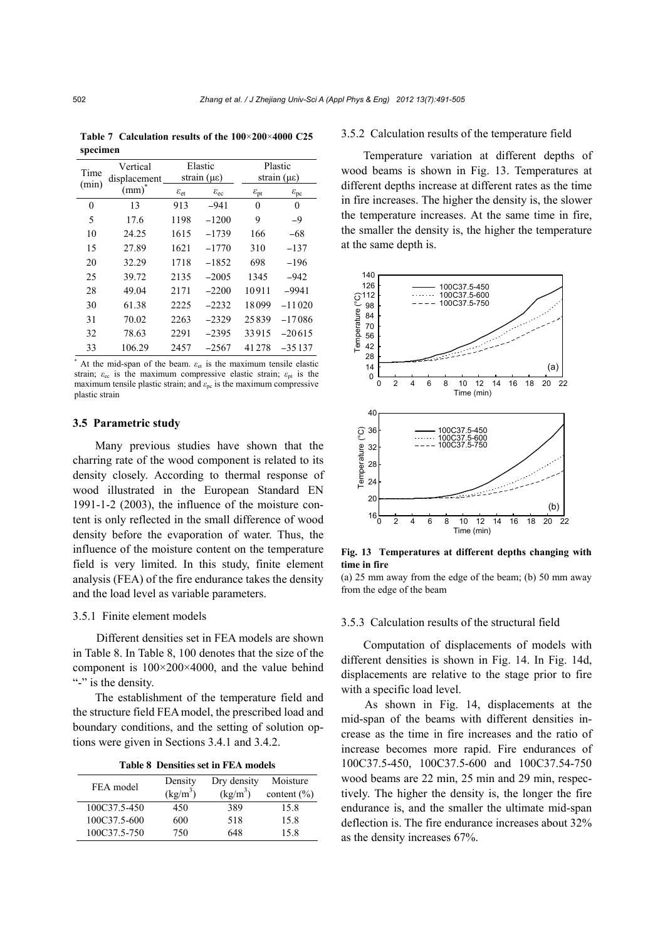**Table 7 Calculation results of the 100**×**200**×**4000 C25 specimen** 

| Vertical<br>Time<br>displacement |            | Elastic<br>strain $(\mu \varepsilon)$ |                        | Plastic<br>strain $(\mu \varepsilon)$ |                        |
|----------------------------------|------------|---------------------------------------|------------------------|---------------------------------------|------------------------|
| (min)                            | $(mm)^{r}$ | $\varepsilon_{\rm et}$                | $\varepsilon_{\rm ec}$ | $\varepsilon_{\rm pt}$                | $\varepsilon_{\rm pc}$ |
| 0                                | 13         | 913                                   | $-941$                 | $\theta$                              | 0                      |
| 5                                | 17.6       | 1198                                  | $-1200$                | 9                                     | $-9$                   |
| 10                               | 24.25      | 1615                                  | $-1739$                | 166                                   | $-68$                  |
| 15                               | 27.89      | 1621                                  | $-1770$                | 310                                   | $-137$                 |
| 20                               | 32.29      | 1718                                  | $-1852$                | 698                                   | $-196$                 |
| 25                               | 39.72      | 2135                                  | $-2005$                | 1345                                  | $-942$                 |
| 28                               | 49.04      | 2171                                  | $-2200$                | 10911                                 | $-9941$                |
| 30                               | 61.38      | 2225                                  | $-2232$                | 18099                                 | $-11020$               |
| 31                               | 70.02      | 2263                                  | $-2329$                | 25839                                 | $-17086$               |
| 32                               | 78.63      | 2291                                  | $-2395$                | 33915                                 | $-20615$               |
| 33                               | 106.29     | 2457                                  | $-2567$                | 41278                                 | $-35137$               |

\* At the mid-span of the beam.  $\varepsilon_{et}$  is the maximum tensile elastic strain;  $\varepsilon_{\text{ec}}$  is the maximum compressive elastic strain;  $\varepsilon_{\text{pt}}$  is the maximum tensile plastic strain; and  $\varepsilon_{\rm pc}$  is the maximum compressive plastic strain

## **3.5 Parametric study**

Many previous studies have shown that the charring rate of the wood component is related to its density closely. According to thermal response of wood illustrated in the European Standard EN 1991-1-2 (2003), the influence of the moisture content is only reflected in the small difference of wood density before the evaporation of water. Thus, the influence of the moisture content on the temperature field is very limited. In this study, finite element analysis (FEA) of the fire endurance takes the density and the load level as variable parameters.

## 3.5.1 Finite element models

Different densities set in FEA models are shown in Table 8. In Table 8, 100 denotes that the size of the component is 100×200×4000, and the value behind "-" is the density.

The establishment of the temperature field and the structure field FEA model, the prescribed load and boundary conditions, and the setting of solution options were given in Sections 3.4.1 and 3.4.2.

**Table 8 Densities set in FEA models** 

| FEA model    | Density<br>$(kg/m^3)$ | Dry density<br>$(kg/m^3)$ | Moisture<br>content $(\% )$ |
|--------------|-----------------------|---------------------------|-----------------------------|
| 100C37.5-450 | 450                   | 389                       | 15.8                        |
| 100C37.5-600 | 600                   | 518                       | 15.8                        |
| 100C37.5-750 | 750                   | 648                       | 15.8                        |

#### 3.5.2 Calculation results of the temperature field

Temperature variation at different depths of wood beams is shown in Fig. 13. Temperatures at different depths increase at different rates as the time in fire increases. The higher the density is, the slower the temperature increases. At the same time in fire, the smaller the density is, the higher the temperature at the same depth is.



**Fig. 13 Temperatures at different depths changing with time in fire** 

(a) 25 mm away from the edge of the beam; (b) 50 mm away

#### 3.5.3 Calculation results of the structural field

Computation of displacements of models with different densities is shown in Fig. 14. In Fig. 14d, displacements are relative to the stage prior to fire with a specific load level.

As shown in Fig. 14, displacements at the mid-span of the beams with different densities increase as the time in fire increases and the ratio of increase becomes more rapid. Fire endurances of 100C37.5-450, 100C37.5-600 and 100C37.54-750 wood beams are 22 min, 25 min and 29 min, respectively. The higher the density is, the longer the fire endurance is, and the smaller the ultimate mid-span deflection is. The fire endurance increases about 32% as the density increases 67%.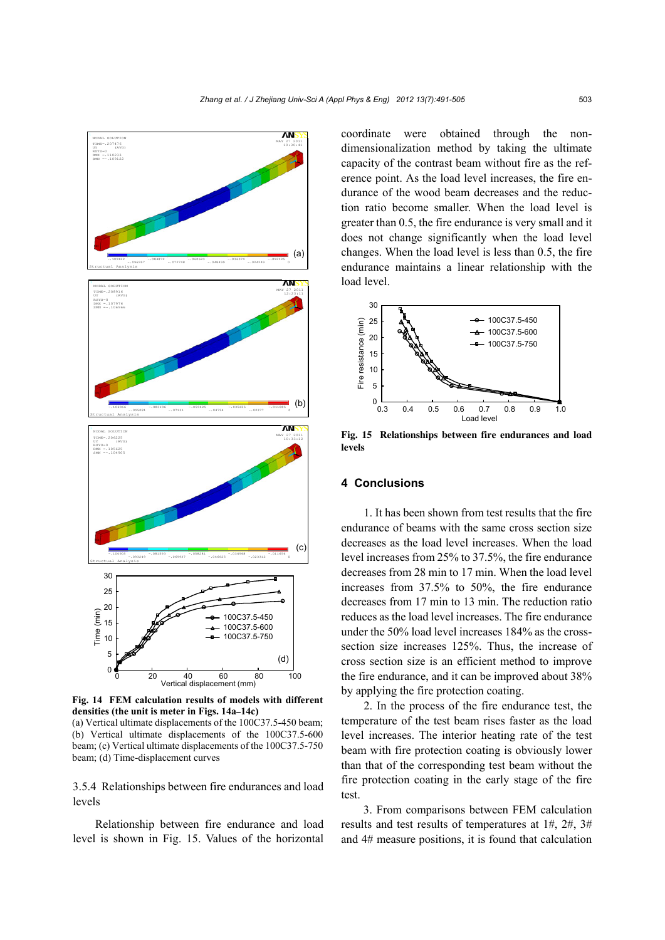

**Fig. 14 FEM calculation results of models with different densities (the unit is meter in Figs. 14a–14c)** 

(a) Vertical ultimate displacements of the 100C37.5-450 beam; (b) Vertical ultimate displacements of the 100C37.5-600 beam; (c) Vertical ultimate displacements of the 100C37.5-750 beam; (d) Time-displacement curves

3.5.4 Relationships between fire endurances and load levels

Relationship between fire endurance and load level is shown in Fig. 15. Values of the horizontal coordinate were obtained through the nondimensionalization method by taking the ultimate capacity of the contrast beam without fire as the reference point. As the load level increases, the fire endurance of the wood beam decreases and the reduction ratio become smaller. When the load level is greater than 0.5, the fire endurance is very small and it does not change significantly when the load level changes. When the load level is less than 0.5, the fire endurance maintains a linear relationship with the load level.



**Fig. 15 Relationships between fire endurances and load levels** 

## **4 Conclusions**

1. It has been shown from test results that the fire endurance of beams with the same cross section size decreases as the load level increases. When the load level increases from 25% to 37.5%, the fire endurance decreases from 28 min to 17 min. When the load level increases from 37.5% to 50%, the fire endurance decreases from 17 min to 13 min. The reduction ratio reduces as the load level increases. The fire endurance under the 50% load level increases 184% as the crosssection size increases 125%. Thus, the increase of cross section size is an efficient method to improve the fire endurance, and it can be improved about 38% by applying the fire protection coating.

2. In the process of the fire endurance test, the temperature of the test beam rises faster as the load level increases. The interior heating rate of the test beam with fire protection coating is obviously lower than that of the corresponding test beam without the fire protection coating in the early stage of the fire test.

3. From comparisons between FEM calculation results and test results of temperatures at 1#, 2#, 3# and 4# measure positions, it is found that calculation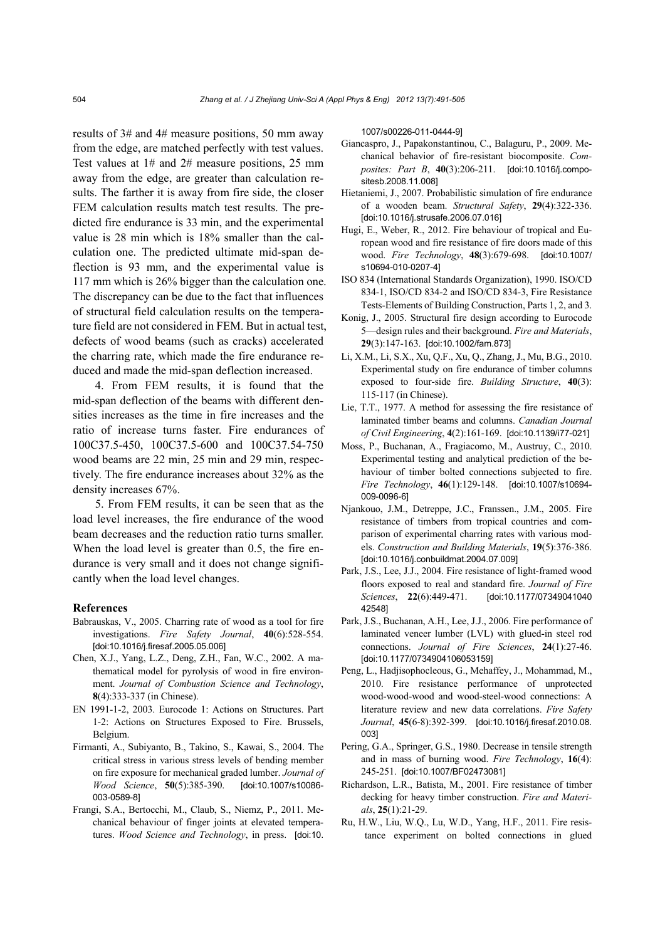results of 3# and 4# measure positions, 50 mm away from the edge, are matched perfectly with test values. Test values at 1# and 2# measure positions, 25 mm away from the edge, are greater than calculation results. The farther it is away from fire side, the closer FEM calculation results match test results. The predicted fire endurance is 33 min, and the experimental value is 28 min which is 18% smaller than the calculation one. The predicted ultimate mid-span deflection is 93 mm, and the experimental value is 117 mm which is 26% bigger than the calculation one. The discrepancy can be due to the fact that influences of structural field calculation results on the temperature field are not considered in FEM. But in actual test, defects of wood beams (such as cracks) accelerated the charring rate, which made the fire endurance reduced and made the mid-span deflection increased.

4. From FEM results, it is found that the mid-span deflection of the beams with different densities increases as the time in fire increases and the ratio of increase turns faster. Fire endurances of 100C37.5-450, 100C37.5-600 and 100C37.54-750 wood beams are 22 min, 25 min and 29 min, respectively. The fire endurance increases about 32% as the density increases 67%.

5. From FEM results, it can be seen that as the load level increases, the fire endurance of the wood beam decreases and the reduction ratio turns smaller. When the load level is greater than 0.5, the fire endurance is very small and it does not change significantly when the load level changes.

#### **References**

- Babrauskas, V., 2005. Charring rate of wood as a tool for fire investigations. *Fire Safety Journal*, **40**(6):528-554. [doi:10.1016/j.firesaf.2005.05.006]
- Chen, X.J., Yang, L.Z., Deng, Z.H., Fan, W.C., 2002. A mathematical model for pyrolysis of wood in fire environment. *Journal of Combustion Science and Technology*, **8**(4):333-337 (in Chinese).
- EN 1991-1-2, 2003. Eurocode 1: Actions on Structures. Part 1-2: Actions on Structures Exposed to Fire. Brussels, Belgium.
- Firmanti, A., Subiyanto, B., Takino, S., Kawai, S., 2004. The critical stress in various stress levels of bending member on fire exposure for mechanical graded lumber. *Journal of Wood Science*, **50**(5):385-390. [doi:10.1007/s10086- 003-0589-8]
- Frangi, S.A., Bertocchi, M., Claub, S., Niemz, P., 2011. Mechanical behaviour of finger joints at elevated temperatures. *Wood Science and Technology*, in press. [doi:10.

1007/s00226-011-0444-9]

- Giancaspro, J., Papakonstantinou, C., Balaguru, P., 2009. Mechanical behavior of fire-resistant biocomposite. *Composites: Part B*, **40**(3):206-211. [doi:10.1016/j.compositesb.2008.11.008]
- Hietaniemi, J., 2007. Probabilistic simulation of fire endurance of a wooden beam. *Structural Safety*, **29**(4):322-336. [doi:10.1016/j.strusafe.2006.07.016]
- Hugi, E., Weber, R., 2012. Fire behaviour of tropical and European wood and fire resistance of fire doors made of this wood. *Fire Technology*, **48**(3):679-698. [doi:10.1007/ s10694-010-0207-4]
- ISO 834 (International Standards Organization), 1990. ISO/CD 834-1, ISO/CD 834-2 and ISO/CD 834-3, Fire Resistance Tests-Elements of Building Construction, Parts 1, 2, and 3.
- Konig, J., 2005. Structural fire design according to Eurocode 5—design rules and their background. *Fire and Materials*, **29**(3):147-163. [doi:10.1002/fam.873]
- Li, X.M., Li, S.X., Xu, Q.F., Xu, Q., Zhang, J., Mu, B.G., 2010. Experimental study on fire endurance of timber columns exposed to four-side fire. *Building Structure*, **40**(3): 115-117 (in Chinese).
- Lie, T.T., 1977. A method for assessing the fire resistance of laminated timber beams and columns. *Canadian Journal of Civil Engineering*, **4**(2):161-169. [doi:10.1139/i77-021]
- Moss, P., Buchanan, A., Fragiacomo, M., Austruy, C., 2010. Experimental testing and analytical prediction of the behaviour of timber bolted connections subjected to fire. *Fire Technology*, **46**(1):129-148. [doi:10.1007/s10694- 009-0096-6]
- Njankouo, J.M., Detreppe, J.C., Franssen., J.M., 2005. Fire resistance of timbers from tropical countries and comparison of experimental charring rates with various models. *Construction and Building Materials*, **19**(5):376-386. [doi:10.1016/j.conbuildmat.2004.07.009]
- Park, J.S., Lee, J.J., 2004. Fire resistance of light-framed wood floors exposed to real and standard fire. *Journal of Fire Sciences*, **22**(6):449-471. [doi:10.1177/07349041040 42548]
- Park, J.S., Buchanan, A.H., Lee, J.J., 2006. Fire performance of laminated veneer lumber (LVL) with glued-in steel rod connections. *Journal of Fire Sciences*, **24**(1):27-46. [doi:10.1177/0734904106053159]
- Peng, L., Hadjisophocleous, G., Mehaffey, J., Mohammad, M., 2010. Fire resistance performance of unprotected wood-wood-wood and wood-steel-wood connections: A literature review and new data correlations. *Fire Safety Journal*, **45**(6-8):392-399. [doi:10.1016/j.firesaf.2010.08. 003]
- Pering, G.A., Springer, G.S., 1980. Decrease in tensile strength and in mass of burning wood. *Fire Technology*, **16**(4): 245-251. [doi:10.1007/BF02473081]
- Richardson, L.R., Batista, M., 2001. Fire resistance of timber decking for heavy timber construction. *Fire and Materials*, **25**(1):21-29.
- Ru, H.W., Liu, W.Q., Lu, W.D., Yang, H.F., 2011. Fire resistance experiment on bolted connections in glued